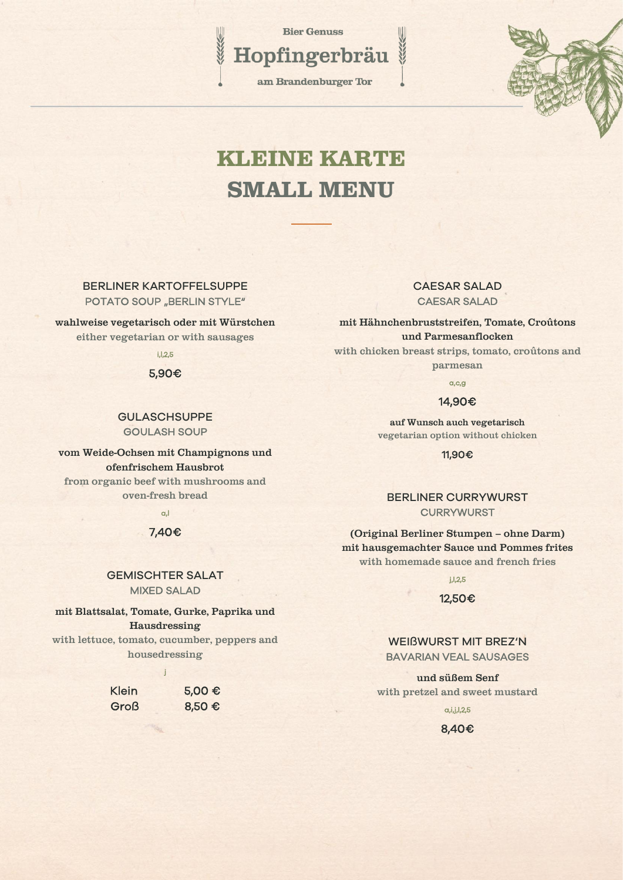**Bier Genuss** 

am Brandenburger Tor

Hopfingerbräu



## KLEINE KARTE SMALL MENU

BERLINER KARTOFFELSUPPE POTATO SOUP "BERLIN STYLE"

wahlweise vegetarisch oder mit Würstchen either vegetarian or with sausages

i,l,2,5

5,90€

GULASCHSUPPE GOULASH SOUP

vom Weide-Ochsen mit Champignons und ofenfrischem Hausbrot from organic beef with mushrooms and oven-fresh bread

a,l

## 7,40€

GEMISCHTER SALAT MIXED SALAD

mit Blattsalat, Tomate, Gurke, Paprika und Hausdressing with lettuce, tomato, cucumber, peppers and housedressing

j

Klein 5,00 € Groß 8,50 €

## CAESAR SALAD CAESAR SALAD

mit Hähnchenbruststreifen, Tomate, Croûtons und Parmesanflocken

with chicken breast strips, tomato, croûtons and parmesan

a,c,g

#### 14,90€

auf Wunsch auch vegetarisch vegetarian option without chicken

11,90€

## BERLINER CURRYWURST **CURRYWURST**

(Original Berliner Stumpen – ohne Darm) mit hausgemachter Sauce und Pommes frites with homemade sauce and french fries

j,l,2,5

#### 12,50€

WEIßWURST MIT BREZ'N BAVARIAN VEAL SAUSAGES

und süßem Senf with pretzel and sweet mustard

 $a, i, j, l, 2, 5$ 

## 8,40€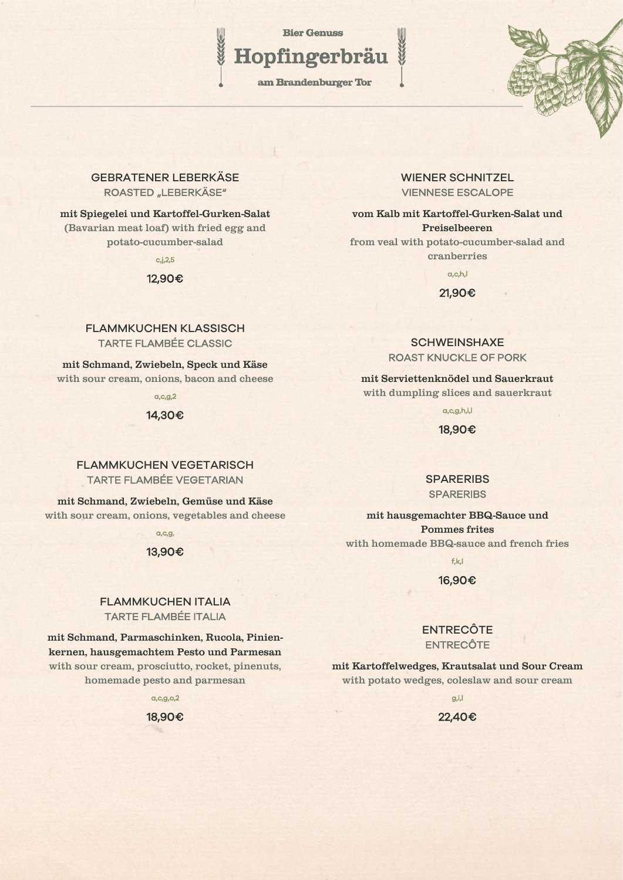**Bier Genuss** 

# Hopfingerbräu

am Brandenburger Tor

## GEBRATENER LEBERKÄSE ROASTED "LEBERKÄSE"

## mit Spiegelei und Kartoffel-Gurken-Salat (Bavarian meat loaf) with fried egg and potato-cucumber-salad

 $c,j,2,5$ 

#### 12,90€

## FLAMMKUCHEN KLASSISCH TARTE FLAMBÉE CLASSIC

mit Schmand, Zwiebeln, Speck und Käse with sour cream, onions, bacon and cheese

a,c,g,2

#### 14,30€

## FI AMMKUCHEN VEGETARISCH TARTE FLAMBÉE VEGETARIAN

mit Schmand, Zwiebeln, Gemüse und Käse with sour cream, onions, vegetables and cheese

a,c,g,

#### 13,90€

## FLAMMKUCHEN ITALIA TARTE FLAMBÉE ITALIA

mit Schmand, Parmaschinken, Rucola, Pinienkernen, hausgemachtem Pesto und Parmesan with sour cream, prosciutto, rocket, pinenuts, homemade pesto and parmesan

a,c,g,o,2

18,90€

## WIENER SCHNITZEL VIENNESE ESCALOPE

vom Kalb mit Kartoffel-Gurken-Salat und Preiselbeeren from veal with potato-cucumber-salad and

cranberries

a,c,h,l

21,90€

## **SCHWEINSHAXE** ROAST KNUCKLE OF PORK

mit Serviettenknödel und Sauerkraut with dumpling slices and sauerkraut

a,c,g,h,i,l

18,90€

## **SPARERIBS SPARERIBS**

mit hausgemachter BBQ-Sauce und Pommes frites with homemade BBQ-sauce and french fries

f,k,l

## 16,90€

## **ENTRECÔTE** ENTRECÔTE

mit Kartoffelwedges, Krautsalat und Sour Cream with potato wedges, coleslaw and sour cream

g,i,l

22,40€